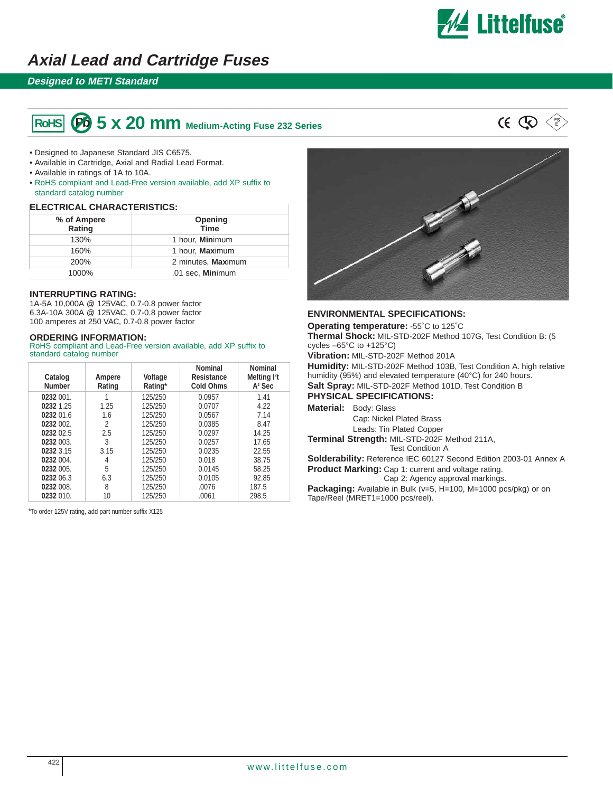

# **Axial Lead and Cartridge Fuses**

### **Designed to METI Standard**

#### **60 5 x 20 mm** Medium-Acting Fuse 232 Series **RoHS**



- Designed to Japanese Standard JIS C6575.
- Available in Cartridge, Axial and Radial Lead Format.
- Available in ratings of 1A to 10A.
- RoHS compliant and Lead-Free version available, add XP suffix to standard catalog number

#### **ELECTRICAL CHARACTERISTICS:**

| % of Ampere<br>Rating | Opening<br><b>Time</b>  |
|-----------------------|-------------------------|
| 130%                  | 1 hour, <b>Mini</b> mum |
| 160%                  | 1 hour, Maximum         |
| 200%                  | 2 minutes, Maximum      |
| 1000%                 | .01 sec. Minimum        |

#### **INTERRUPTING RATING:**

1A-5A 10,000A @ 125VAC, 0.7-0.8 power factor 6.3A-10A 300A @ 125VAC, 0.7-0.8 power factor 100 amperes at 250 VAC, 0.7-0.8 power factor

#### **ORDERING INFORMATION:**

RoHS compliant and Lead-Free version available, add XP suffix to standard catalog number

| Catalog<br><b>Number</b> | Ampere<br>Rating | Voltage<br>Rating* | <b>Nominal</b><br><b>Resistance</b><br><b>Cold Ohms</b> | <b>Nominal</b><br>Melting <sup>12</sup> t<br>$A2$ Sec |
|--------------------------|------------------|--------------------|---------------------------------------------------------|-------------------------------------------------------|
| 0232 001.                |                  | 125/250            | 0.0957                                                  | 1.41                                                  |
| 0232 1.25                | 1.25             | 125/250            | 0.0707                                                  | 4.22                                                  |
| 0232 01.6                | 1.6              | 125/250            | 0.0567                                                  | 7.14                                                  |
| 0232 002.                | 2                | 125/250            | 0.0385                                                  | 8.47                                                  |
| 0232 02.5                | 2.5              | 125/250            | 0.0297                                                  | 14.25                                                 |
| 0232 003.                | 3                | 125/250            | 0.0257                                                  | 17.65                                                 |
| 0232 3.15                | 3.15             | 125/250            | 0.0235                                                  | 22.55                                                 |
| 0232 004.                | 4                | 125/250            | 0.018                                                   | 38.75                                                 |
| 0232 005.                | 5                | 125/250            | 0.0145                                                  | 58.25                                                 |
| 0232 06.3                | 6.3              | 125/250            | 0.0105                                                  | 92.85                                                 |
| 0232 008.                | 8                | 125/250            | .0076                                                   | 187.5                                                 |
| 0232 010.                | 10               | 125/250            | .0061                                                   | 298.5                                                 |

\*To order 125V rating, add part number suffix X125



#### **ENVIRONMENTAL SPECIFICATIONS:**

**Operating temperature:** -55˚C to 125˚C

**Thermal Shock:** MIL-STD-202F Method 107G, Test Condition B: (5 cycles –65°C to +125°C)

**Vibration:** MIL-STD-202F Method 201A

**Humidity:** MIL-STD-202F Method 103B, Test Condition A. high relative humidity (95%) and elevated temperature (40°C) for 240 hours. **Salt Spray:** MIL-STD-202F Method 101D, Test Condition B **PHYSICAL SPECIFICATIONS:**

**Material:** Body: Glass

Cap: Nickel Plated Brass Leads: Tin Plated Copper

**Terminal Strength:** MIL-STD-202F Method 211A, Test Condition A

**Solderability:** Reference IEC 60127 Second Edition 2003-01 Annex A **Product Marking:** Cap 1: current and voltage rating.

Cap 2: Agency approval markings.

Packaging: Available in Bulk (v=5, H=100, M=1000 pcs/pkg) or on Tape/Reel (MRET1=1000 pcs/reel).